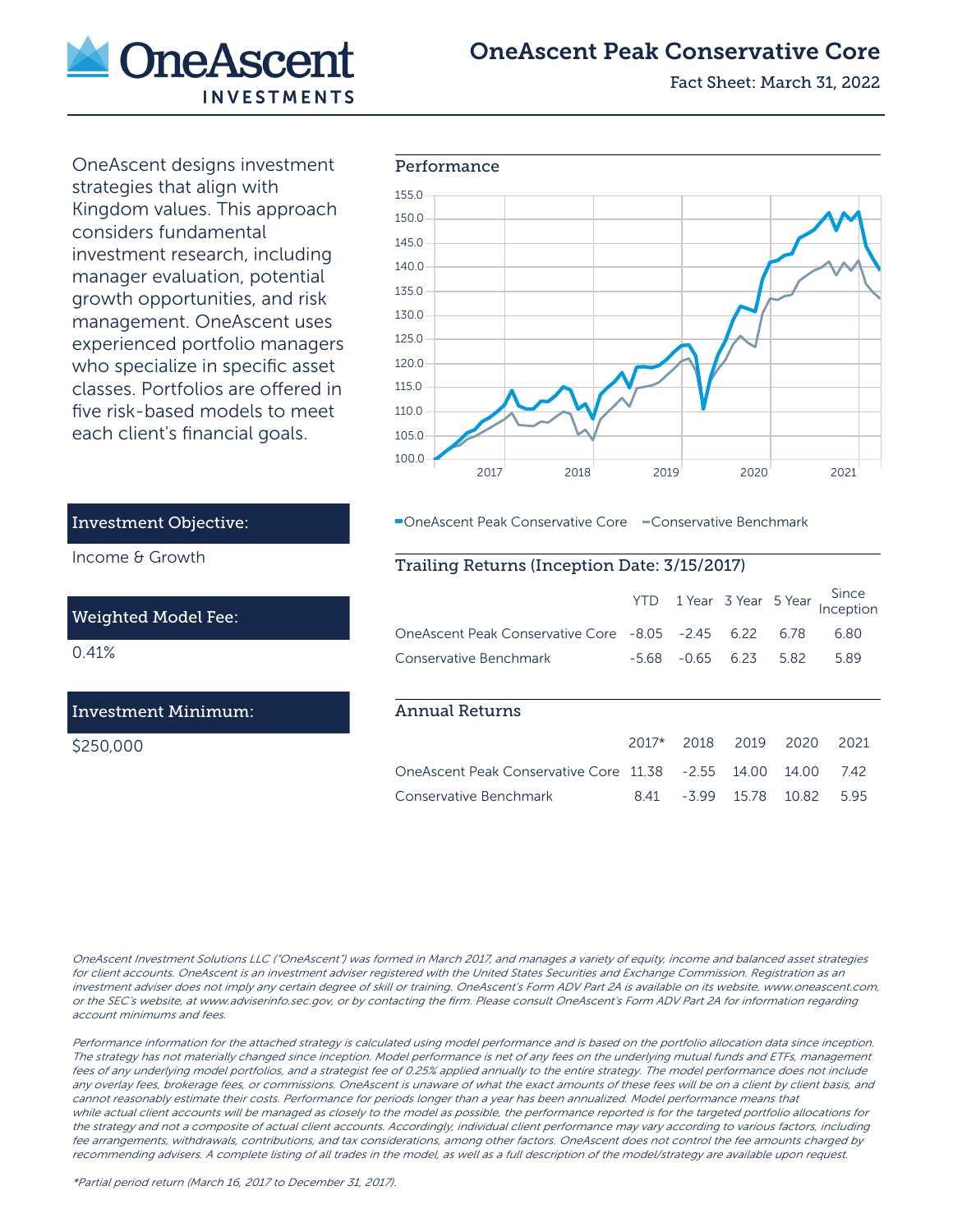

# OneAscent Peak Conservative Core

Fact Sheet: March 31, 2022

OneAscent designs investment strategies that align with Kingdom values. This approach considers fundamental investment research, including manager evaluation, potential growth opportunities, and risk management. OneAscent uses experienced portfolio managers who specialize in specific asset classes. Portfolios are offered in five risk-based models to meet each client's financial goals.



OneAscent Peak Conservative Core - Conservative Benchmark

## Trailing Returns (Inception Date: 3/15/2017)

|                                               |         |         |        |       | YTD 1 Year 3 Year 5 Year Inception |
|-----------------------------------------------|---------|---------|--------|-------|------------------------------------|
| OneAscent Peak Conservative Core -8.05 -2.45  |         |         | 6.22   | 6.78  | 6.80                               |
| Conservative Benchmark                        | -5.68   | $-0.65$ | 6.23   | 5.82  | 5.89                               |
|                                               |         |         |        |       |                                    |
| Annual Returns                                |         |         |        |       |                                    |
|                                               | $2017*$ | 2018    | 2019   | 2020  | 2021                               |
| One Ascent Peak Conservative Core 11.38 -2.55 |         |         | 14 O.O | 14 OO | 742                                |

Conservative Benchmark 8.41 -3.99 15.78 10.82 5.95

# Investment Objective:

Income & Growth

### Weighted Model Fee:

0.41%

## Investment Minimum:

\$250,000

OneAscent Investment Solutions LLC ("OneAscent") was formed in March 2017, and manages a variety of equity, income and balanced asset strategies for client accounts. OneAscent is an investment adviser registered with the United States Securities and Exchange Commission. Registration as an investment adviser does not imply any certain degree of skill or training. OneAscent's Form ADV Part 2A is available on its website, www.oneascent.com, or the SEC's website, at www.adviserinfo.sec.gov, or by contacting the firm. Please consult OneAscent's Form ADV Part 2A for information regarding account minimums and fees.

Performance information for the attached strategy is calculated using model performance and is based on the portfolio allocation data since inception. The strategy has not materially changed since inception. Model performance is net of any fees on the underlying mutual funds and ETFs, management fees of any underlying model portfolios, and a strategist fee of 0.25% applied annually to the entire strategy. The model performance does not include any overlay fees, brokerage fees, or commissions. OneAscent is unaware of what the exact amounts of these fees will be on a client by client basis, and cannot reasonably estimate their costs. Performance for periods longer than a year has been annualized. Model performance means that while actual client accounts will be managed as closely to the model as possible, the performance reported is for the targeted portfolio allocations for the strategy and not a composite of actual client accounts. Accordingly, individual client performance may vary according to various factors, including fee arrangements, withdrawals, contributions, and tax considerations, among other factors. OneAscent does not control the fee amounts charged by recommending advisers. A complete listing of all trades in the model, as well as a full description of the model/strategy are available upon request.